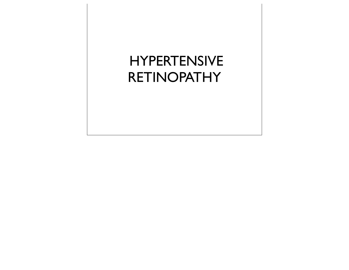# HYPERTENSIVE **RETINOPATHY**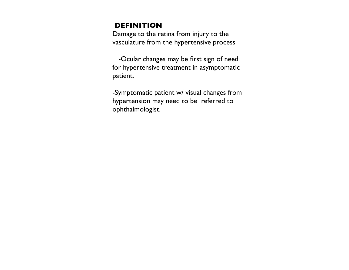## **DEFINITION**

Damage to the retina from injury to the vasculature from the hypertensive process

 -Ocular changes may be first sign of need for hypertensive treatment in asymptomatic patient.

-Symptomatic patient w/ visual changes from hypertension may need to be referred to ophthalmologist.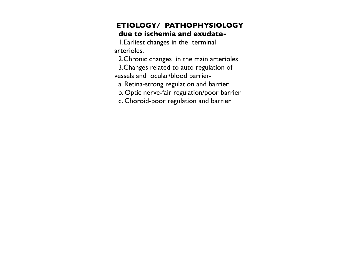#### **ETIOLOGY/ PATHOPHYSIOLOGY due to ischemia and exudate-**

 1.Earliest changes in the terminal arterioles.

 2.Chronic changes in the main arterioles 3.Changes related to auto regulation of vessels and ocular/blood barrier-

a. Retina-strong regulation and barrier

b. Optic nerve-fair regulation/poor barrier

c. Choroid-poor regulation and barrier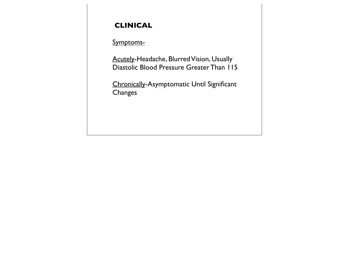# **CLINICAL**

## Symptoms-

Acutely-Headache, Blurred Vision, Usually Diastolic Blood Pressure Greater Than 115

Chronically-Asymptomatic Until Significant Changes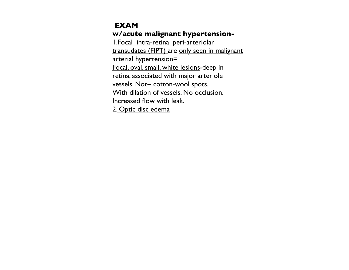#### **EXAM w/acute malignant hypertension-**

1.Focal intra-retinal peri-arteriolar transudates (FIPT) are only seen in malignant arterial hypertension= Focal, oval, small, white lesions-deep in retina, associated with major arteriole vessels. Not= cotton-wool spots. With dilation of vessels. No occlusion. Increased flow with leak. 2. Optic disc edema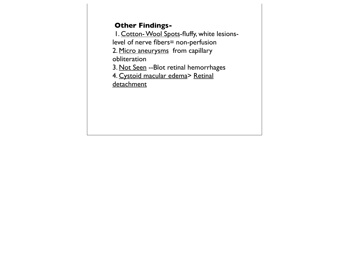#### **Other Findings-**

 1. Cotton- Wool Spots-fluffy, white lesionslevel of nerve fibers= non-perfusion

2. Micro aneurysms from capillary obliteration

3. Not Seen --Blot retinal hemorrhages

4. Cystoid macular edema> Retinal

**detachment**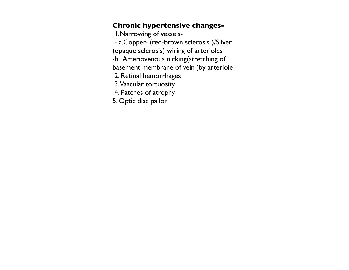#### **Chronic hypertensive changes-**

 1.Narrowing of vessels- - a.Copper- (red-brown sclerosis )/Silver (opaque sclerosis) wiring of arterioles -b. Arteriovenous nicking(stretching of basement membrane of vein )by arteriole 2. Retinal hemorrhages 3. Vascular tortuosity 4. Patches of atrophy 5. Optic disc pallor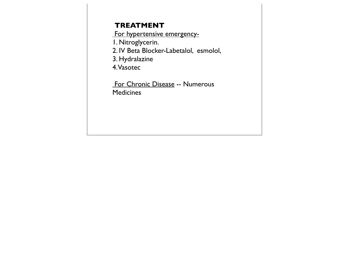#### **TREATMENT**

For hypertensive emergency-

1. Nitroglycerin.

2. IV Beta Blocker-Labetalol, esmolol,

3. Hydralazine

4. Vasotec

 For Chronic Disease -- Numerous **Medicines**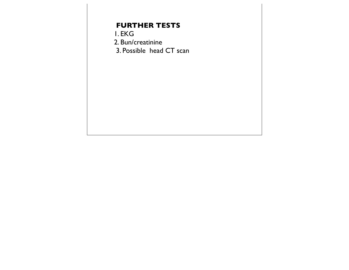# **FURTHER TESTS**

1. EKG

2. Bun/creatinine

3. Possible head CT scan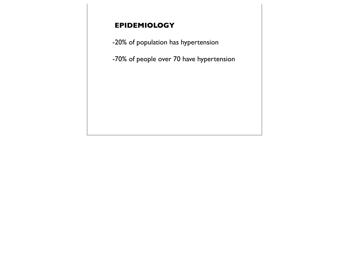# **EPIDEMIOLOGY**

-20% of population has hypertension

-70% of people over 70 have hypertension